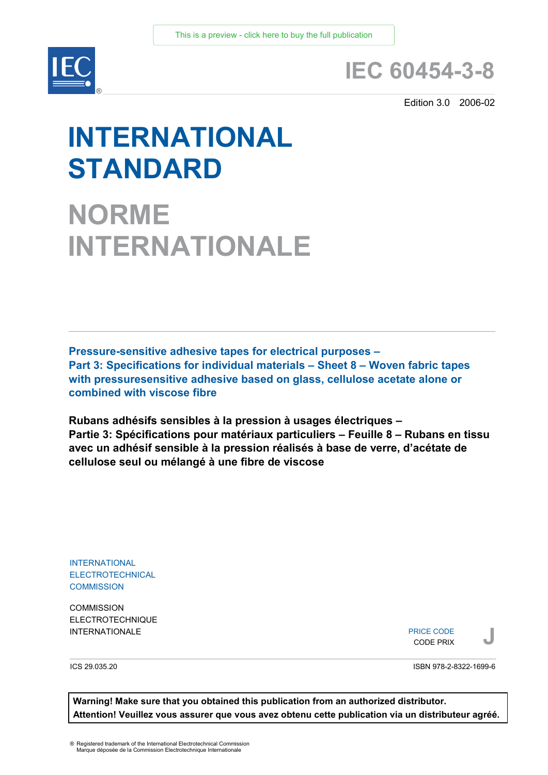

# **IEC 60454-3-8**

Edition 3.0 2006-02

# **INTERNATIONAL STANDARD**

**NORME INTERNATIONALE**

**Pressure-sensitive adhesive tapes for electrical purposes – Part 3: Specifications for individual materials – Sheet 8 – Woven fabric tapes with pressuresensitive adhesive based on glass, cellulose acetate alone or combined with viscose fibre**

**Rubans adhésifs sensibles à la pression à usages électriques – Partie 3: Spécifications pour matériaux particuliers – Feuille 8 – Rubans en tissu avec un adhésif sensible à la pression réalisés à base de verre, d'acétate de cellulose seul ou mélangé à une fibre de viscose**

INTERNATIONAL ELECTROTECHNICAL **COMMISSION** 

**COMMISSION** ELECTROTECHNIQUE

INTERNATIONALE PRICE CODE PRIX PRICE CODE PRIX PRICE CODE PRIX PRICE CODE PRIX PRICE CODE PRIX PRICE CODE PRIX PRICE CODE PRIX PRICE CODE PRIX PRICE CODE PRIX PRICE CODE PRIX PRICE CODE PRIX PRIX PRICE CODE PRIX PRIX PRIX PRICE CODE CODE PRIX



ICS 29.035.20

ISBN 978-2-8322-1699-6

**Warning! Make sure that you obtained this publication from an authorized distributor. Attention! Veuillez vous assurer que vous avez obtenu cette publication via un distributeur agréé.**

® Registered trademark of the International Electrotechnical Commission Marque déposée de la Commission Electrotechnique Internationale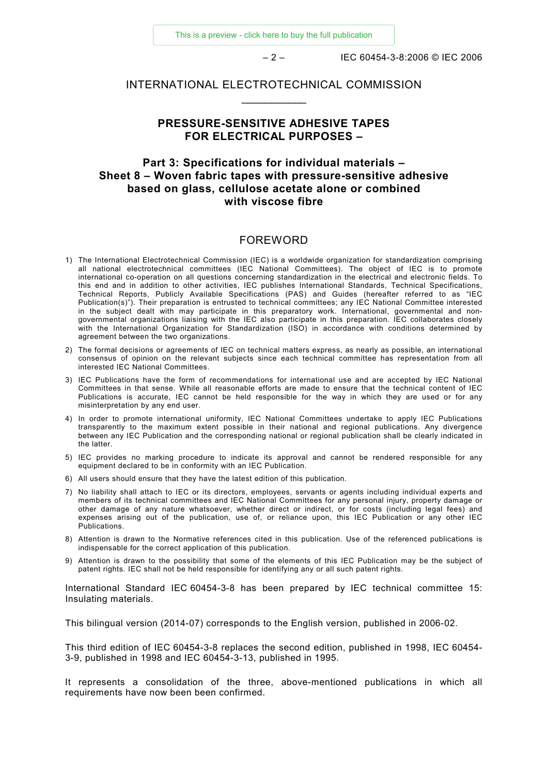[This is a preview - click here to buy the full publication](https://webstore.iec.ch/publication/2176&preview=1)

– 2 – IEC 60454-3-8:2006 © IEC 2006

# INTERNATIONAL ELECTROTECHNICAL COMMISSION  $\overline{\phantom{a}}$

#### **PRESSURE-SENSITIVE ADHESIVE TAPES FOR ELECTRICAL PURPOSES –**

# **Part 3: Specifications for individual materials – Sheet 8 – Woven fabric tapes with pressure-sensitive adhesive based on glass, cellulose acetate alone or combined with viscose fibre**

#### FOREWORD

- 1) The International Electrotechnical Commission (IEC) is a worldwide organization for standardization comprising all national electrotechnical committees (IEC National Committees). The object of IEC is to promote international co-operation on all questions concerning standardization in the electrical and electronic fields. To this end and in addition to other activities, IEC publishes International Standards, Technical Specifications, Technical Reports, Publicly Available Specifications (PAS) and Guides (hereafter referred to as "IEC Publication(s)"). Their preparation is entrusted to technical committees; any IEC National Committee interested in the subject dealt with may participate in this preparatory work. International, governmental and nongovernmental organizations liaising with the IEC also participate in this preparation. IEC collaborates closely with the International Organization for Standardization (ISO) in accordance with conditions determined by agreement between the two organizations.
- 2) The formal decisions or agreements of IEC on technical matters express, as nearly as possible, an international consensus of opinion on the relevant subjects since each technical committee has representation from all interested IEC National Committees.
- 3) IEC Publications have the form of recommendations for international use and are accepted by IEC National Committees in that sense. While all reasonable efforts are made to ensure that the technical content of IEC Publications is accurate, IEC cannot be held responsible for the way in which they are used or for any misinterpretation by any end user.
- 4) In order to promote international uniformity, IEC National Committees undertake to apply IEC Publications transparently to the maximum extent possible in their national and regional publications. Any divergence between any IEC Publication and the corresponding national or regional publication shall be clearly indicated in the latter.
- 5) IEC provides no marking procedure to indicate its approval and cannot be rendered responsible for any equipment declared to be in conformity with an IEC Publication.
- 6) All users should ensure that they have the latest edition of this publication.
- 7) No liability shall attach to IEC or its directors, employees, servants or agents including individual experts and members of its technical committees and IEC National Committees for any personal injury, property damage or other damage of any nature whatsoever, whether direct or indirect, or for costs (including legal fees) and expenses arising out of the publication, use of, or reliance upon, this IEC Publication or any other IEC Publications.
- 8) Attention is drawn to the Normative references cited in this publication. Use of the referenced publications is indispensable for the correct application of this publication.
- 9) Attention is drawn to the possibility that some of the elements of this IEC Publication may be the subject of patent rights. IEC shall not be held responsible for identifying any or all such patent rights.

International Standard IEC 60454-3-8 has been prepared by IEC technical committee 15: Insulating materials.

This bilingual version (2014-07) corresponds to the English version, published in 2006-02.

This third edition of IEC 60454-3-8 replaces the second edition, published in 1998, IEC 60454- 3-9, published in 1998 and IEC 60454-3-13, published in 1995.

It represents a consolidation of the three, above-mentioned publications in which all requirements have now been been confirmed.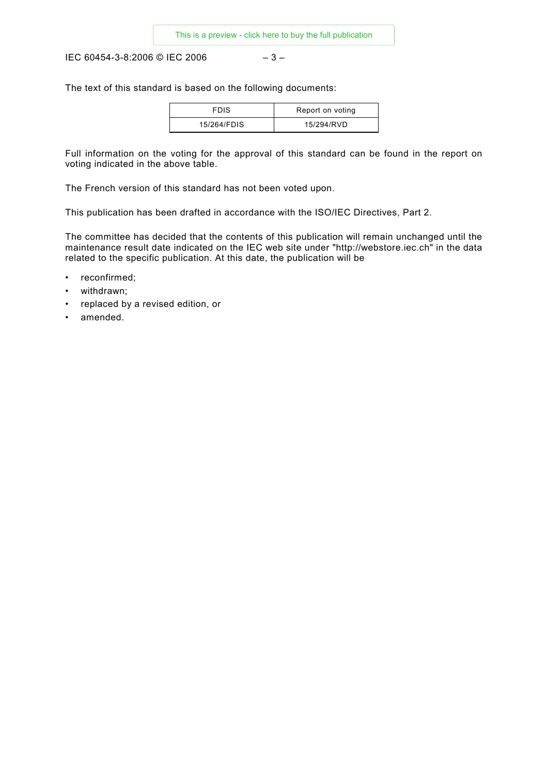IEC 60454-3-8:2006 © IEC 2006 – 3 –

The text of this standard is based on the following documents:

| <b>FDIS</b> | Report on voting |
|-------------|------------------|
| 15/264/FDIS | 15/294/RVD       |

Full information on the voting for the approval of this standard can be found in the report on voting indicated in the above table.

The French version of this standard has not been voted upon.

This publication has been drafted in accordance with the ISO/IEC Directives, Part 2.

The committee has decided that the contents of this publication will remain unchanged until the maintenance result date indicated on the IEC web site under "http://webstore.iec.ch" in the data related to the specific publication. At this date, the publication will be

- reconfirmed;
- withdrawn;
- replaced by a revised edition, or
- amended.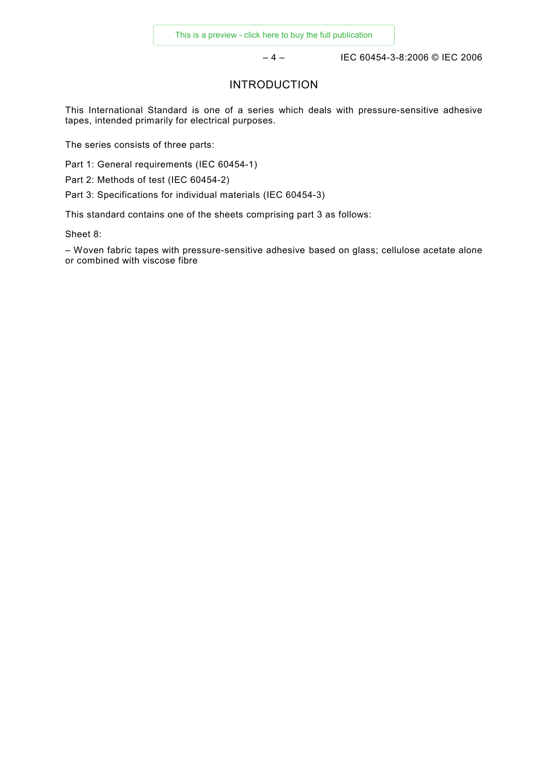– 4 – IEC 60454-3-8:2006 © IEC 2006

#### INTRODUCTION

This International Standard is one of a series which deals with pressure-sensitive adhesive tapes, intended primarily for electrical purposes.

The series consists of three parts:

Part 1: General requirements (IEC 60454-1)

Part 2: Methods of test (IEC 60454-2)

Part 3: Specifications for individual materials (IEC 60454-3)

This standard contains one of the sheets comprising part 3 as follows:

Sheet 8:

– Woven fabric tapes with pressure-sensitive adhesive based on glass; cellulose acetate alone or combined with viscose fibre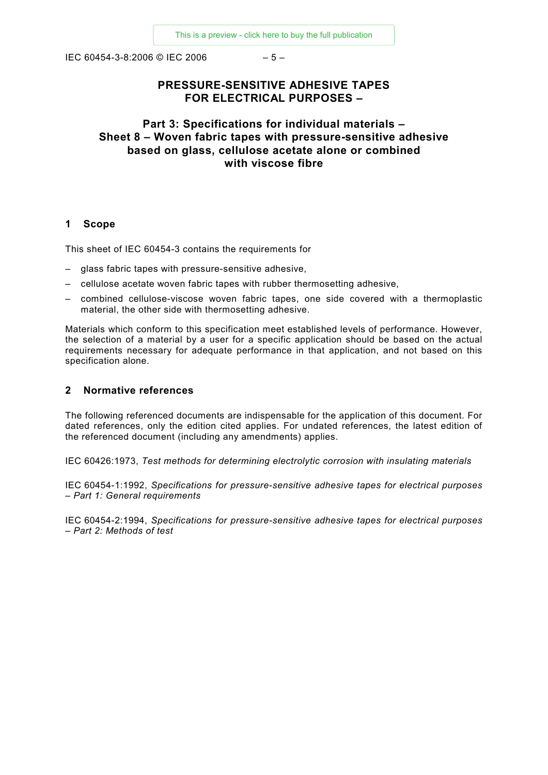IEC 60454-3-8:2006 © IEC 2006 – 5 –

# **PRESSURE-SENSITIVE ADHESIVE TAPES FOR ELECTRICAL PURPOSES –**

# **Part 3: Specifications for individual materials – Sheet 8 – Woven fabric tapes with pressure-sensitive adhesive based on glass, cellulose acetate alone or combined with viscose fibre**

#### **1 Scope**

This sheet of IEC 60454-3 contains the requirements for

- glass fabric tapes with pressure-sensitive adhesive,
- cellulose acetate woven fabric tapes with rubber thermosetting adhesive,
- combined cellulose-viscose woven fabric tapes, one side covered with a thermoplastic material, the other side with thermosetting adhesive.

Materials which conform to this specification meet established levels of performance. However, the selection of a material by a user for a specific application should be based on the actual requirements necessary for adequate performance in that application, and not based on this specification alone.

#### **2 Normative references**

The following referenced documents are indispensable for the application of this document. For dated references, only the edition cited applies. For undated references, the latest edition of the referenced document (including any amendments) applies.

IEC 60426:1973, *Test methods for determining electrolytic corrosion with insulating materials*

IEC 60454-1:1992, *Specifications for pressure-sensitive adhesive tapes for electrical purposes – Part 1: General requirements*

IEC 60454-2:1994, *Specifications for pressure-sensitive adhesive tapes for electrical purposes – Part 2: Methods of test*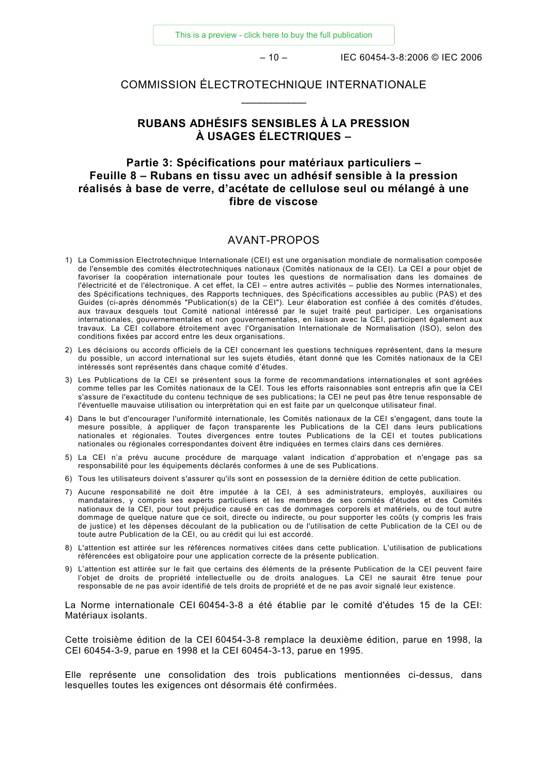[This is a preview - click here to buy the full publication](https://webstore.iec.ch/publication/2176&preview=1)

– 10 – IEC 60454-3-8:2006 © IEC 2006

# COMMISSION ÉLECTROTECHNIQUE INTERNATIONALE  $\overline{\phantom{a}}$

# **RUBANS ADHÉSIFS SENSIBLES À LA PRESSION À USAGES ÉLECTRIQUES –**

# **Partie 3: Spécifications pour matériaux particuliers – Feuille 8 – Rubans en tissu avec un adhésif sensible à la pression réalisés à base de verre, d'acétate de cellulose seul ou mélangé à une fibre de viscose**

#### AVANT-PROPOS

- 1) La Commission Electrotechnique Internationale (CEI) est une organisation mondiale de normalisation composée de l'ensemble des comités électrotechniques nationaux (Comités nationaux de la CEI). La CEI a pour objet de favoriser la coopération internationale pour toutes les questions de normalisation dans les domaines de l'électricité et de l'électronique. A cet effet, la CEI – entre autres activités – publie des Normes internationales, des Spécifications techniques, des Rapports techniques, des Spécifications accessibles au public (PAS) et des Guides (ci-après dénommés "Publication(s) de la CEI"). Leur élaboration est confiée à des comités d'études, aux travaux desquels tout Comité national intéressé par le sujet traité peut participer. Les organisations internationales, gouvernementales et non gouvernementales, en liaison avec la CEI, participent également aux travaux. La CEI collabore étroitement avec l'Organisation Internationale de Normalisation (ISO), selon des conditions fixées par accord entre les deux organisations.
- 2) Les décisions ou accords officiels de la CEI concernant les questions techniques représentent, dans la mesure du possible, un accord international sur les sujets étudiés, étant donné que les Comités nationaux de la CEI intéressés sont représentés dans chaque comité d'études.
- 3) Les Publications de la CEI se présentent sous la forme de recommandations internationales et sont agréées comme telles par les Comités nationaux de la CEI. Tous les efforts raisonnables sont entrepris afin que la CEI s'assure de l'exactitude du contenu technique de ses publications; la CEI ne peut pas être tenue responsable de l'éventuelle mauvaise utilisation ou interprétation qui en est faite par un quelconque utilisateur final.
- 4) Dans le but d'encourager l'uniformité internationale, les Comités nationaux de la CEI s'engagent, dans toute la mesure possible, à appliquer de façon transparente les Publications de la CEI dans leurs publications nationales et régionales. Toutes divergences entre toutes Publications de la CEI et toutes publications nationales ou régionales correspondantes doivent être indiquées en termes clairs dans ces dernières.
- 5) La CEI n'a prévu aucune procédure de marquage valant indication d'approbation et n'engage pas sa responsabilité pour les équipements déclarés conformes à une de ses Publications.
- 6) Tous les utilisateurs doivent s'assurer qu'ils sont en possession de la dernière édition de cette publication.
- 7) Aucune responsabilité ne doit être imputée à la CEI, à ses administrateurs, employés, auxiliaires ou mandataires, y compris ses experts particuliers et les membres de ses comités d'études et des Comités nationaux de la CEI, pour tout préjudice causé en cas de dommages corporels et matériels, ou de tout autre dommage de quelque nature que ce soit, directe ou indirecte, ou pour supporter les coûts (y compris les frais de justice) et les dépenses découlant de la publication ou de l'utilisation de cette Publication de la CEI ou de toute autre Publication de la CEI, ou au crédit qui lui est accordé.
- 8) L'attention est attirée sur les références normatives citées dans cette publication. L'utilisation de publications référencées est obligatoire pour une application correcte de la présente publication.
- 9) L'attention est attirée sur le fait que certains des éléments de la présente Publication de la CEI peuvent faire l'objet de droits de propriété intellectuelle ou de droits analogues. La CEI ne saurait être tenue pour responsable de ne pas avoir identifié de tels droits de propriété et de ne pas avoir signalé leur existence.

La Norme internationale CEI 60454-3-8 a été établie par le comité d'études 15 de la CEI: Matériaux isolants.

Cette troisième édition de la CEI 60454-3-8 remplace la deuxième édition, parue en 1998, la CEI 60454-3-9, parue en 1998 et la CEI 60454-3-13, parue en 1995.

Elle représente une consolidation des trois publications mentionnées ci-dessus, dans lesquelles toutes les exigences ont désormais été confirmées.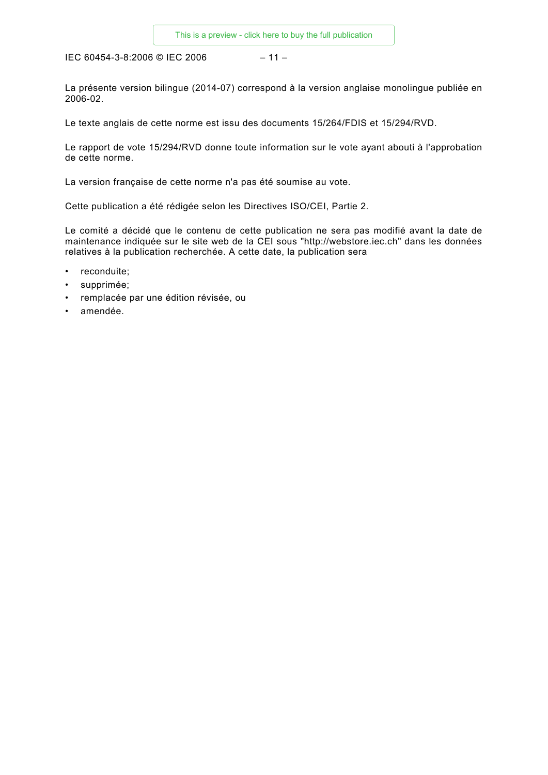IEC 60454-3-8:2006 © IEC 2006 – 11 –

La présente version bilingue (2014-07) correspond à la version anglaise monolingue publiée en 2006-02.

Le texte anglais de cette norme est issu des documents 15/264/FDIS et 15/294/RVD.

Le rapport de vote 15/294/RVD donne toute information sur le vote ayant abouti à l'approbation de cette norme.

La version française de cette norme n'a pas été soumise au vote.

Cette publication a été rédigée selon les Directives ISO/CEI, Partie 2.

Le comité a décidé que le contenu de cette publication ne sera pas modifié avant la date de maintenance indiquée sur le site web de la CEI sous "http://webstore.iec.ch" dans les données relatives à la publication recherchée. A cette date, la publication sera

- reconduite;
- supprimée;
- remplacée par une édition révisée, ou
- amendée.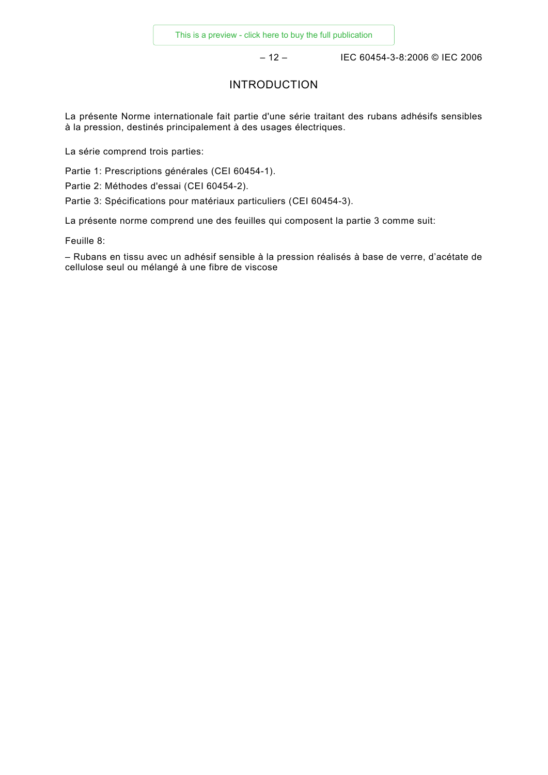– 12 – IEC 60454-3-8:2006 © IEC 2006

# INTRODUCTION

La présente Norme internationale fait partie d'une série traitant des rubans adhésifs sensibles à la pression, destinés principalement à des usages électriques.

La série comprend trois parties:

Partie 1: Prescriptions générales (CEI 60454-1).

Partie 2: Méthodes d'essai (CEI 60454-2).

Partie 3: Spécifications pour matériaux particuliers (CEI 60454-3).

La présente norme comprend une des feuilles qui composent la partie 3 comme suit:

Feuille 8:

– Rubans en tissu avec un adhésif sensible à la pression réalisés à base de verre, d'acétate de cellulose seul ou mélangé à une fibre de viscose